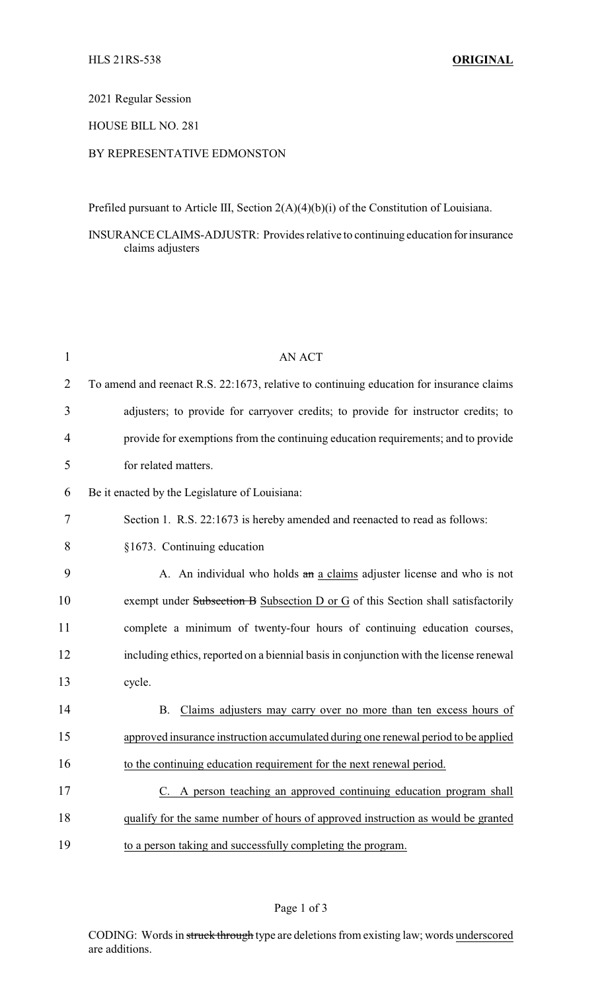#### 2021 Regular Session

# HOUSE BILL NO. 281

## BY REPRESENTATIVE EDMONSTON

Prefiled pursuant to Article III, Section 2(A)(4)(b)(i) of the Constitution of Louisiana.

INSURANCE CLAIMS-ADJUSTR: Provides relative to continuing education forinsurance claims adjusters

| $\mathbf{1}$   | <b>AN ACT</b>                                                                            |
|----------------|------------------------------------------------------------------------------------------|
| $\overline{2}$ | To amend and reenact R.S. 22:1673, relative to continuing education for insurance claims |
| 3              | adjusters; to provide for carryover credits; to provide for instructor credits; to       |
| 4              | provide for exemptions from the continuing education requirements; and to provide        |
| 5              | for related matters.                                                                     |
| 6              | Be it enacted by the Legislature of Louisiana:                                           |
| 7              | Section 1. R.S. 22:1673 is hereby amended and reenacted to read as follows:              |
| 8              | §1673. Continuing education                                                              |
| 9              | A. An individual who holds an a claims adjuster license and who is not                   |
| 10             | exempt under Subsection B Subsection D or G of this Section shall satisfactorily         |
| 11             | complete a minimum of twenty-four hours of continuing education courses,                 |
| 12             | including ethics, reported on a biennial basis in conjunction with the license renewal   |
| 13             | cycle.                                                                                   |
| 14             | Claims adjusters may carry over no more than ten excess hours of<br><b>B.</b>            |
| 15             | approved insurance instruction accumulated during one renewal period to be applied       |
| 16             | to the continuing education requirement for the next renewal period.                     |
| 17             | C. A person teaching an approved continuing education program shall                      |
| 18             | qualify for the same number of hours of approved instruction as would be granted         |
| 19             | to a person taking and successfully completing the program.                              |

### Page 1 of 3

CODING: Words in struck through type are deletions from existing law; words underscored are additions.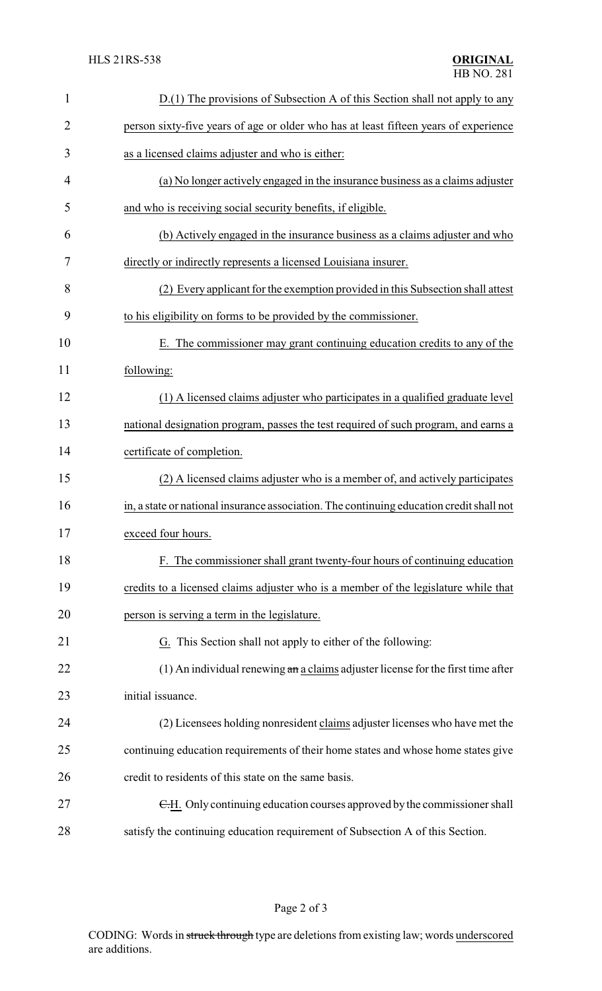| $\mathbf{1}$   | D.(1) The provisions of Subsection A of this Section shall not apply to any              |
|----------------|------------------------------------------------------------------------------------------|
| $\overline{2}$ | person sixty-five years of age or older who has at least fifteen years of experience     |
| 3              | as a licensed claims adjuster and who is either:                                         |
| 4              | (a) No longer actively engaged in the insurance business as a claims adjuster            |
| 5              | and who is receiving social security benefits, if eligible.                              |
| 6              | (b) Actively engaged in the insurance business as a claims adjuster and who              |
| 7              | directly or indirectly represents a licensed Louisiana insurer.                          |
| 8              | (2) Every applicant for the exemption provided in this Subsection shall attest           |
| 9              | to his eligibility on forms to be provided by the commissioner.                          |
| 10             | E. The commissioner may grant continuing education credits to any of the                 |
| 11             | following:                                                                               |
| 12             | (1) A licensed claims adjuster who participates in a qualified graduate level            |
| 13             | national designation program, passes the test required of such program, and earns a      |
| 14             | certificate of completion.                                                               |
| 15             | (2) A licensed claims adjuster who is a member of, and actively participates             |
| 16             | in, a state or national insurance association. The continuing education credit shall not |
| 17             | exceed four hours.                                                                       |
| 18             | F. The commissioner shall grant twenty-four hours of continuing education                |
| 19             | credits to a licensed claims adjuster who is a member of the legislature while that      |
| 20             | person is serving a term in the legislature.                                             |
| 21             | G. This Section shall not apply to either of the following:                              |
| 22             | $(1)$ An individual renewing $a_n a$ claims adjuster license for the first time after    |
| 23             | initial issuance.                                                                        |
| 24             | (2) Licensees holding nonresident claims adjuster licenses who have met the              |
| 25             | continuing education requirements of their home states and whose home states give        |
| 26             | credit to residents of this state on the same basis.                                     |
| 27             | E.H. Only continuing education courses approved by the commissioner shall                |
| 28             | satisfy the continuing education requirement of Subsection A of this Section.            |